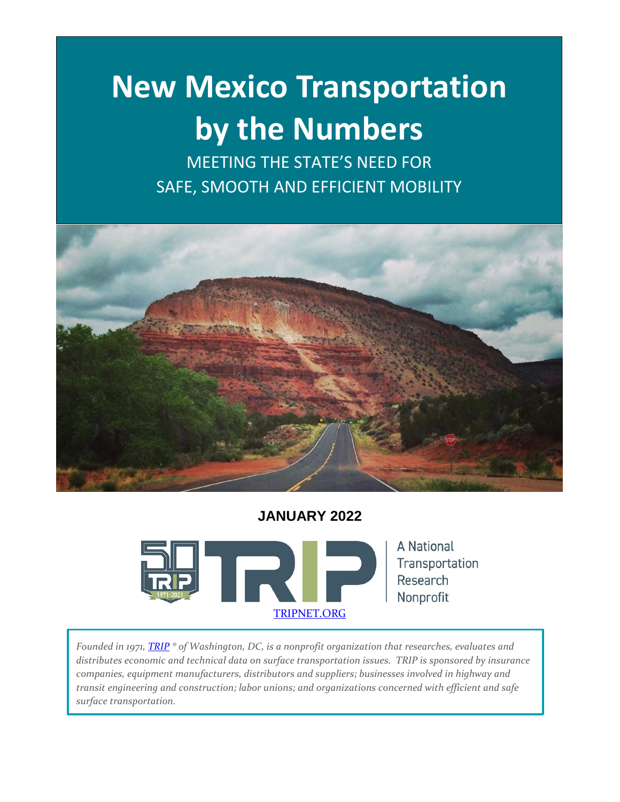# **New Mexico Transportation by the Numbers**

MEETING THE STATE'S NEED FOR SAFE, SMOOTH AND EFFICIENT MOBILITY



# **JANUARY 2022**



*Founded in 1971, [TRIP](http://www.tripnet.org/) ® of Washington, DC, is a nonprofit organization that researches, evaluates and distributes economic and technical data on surface transportation issues. TRIP is sponsored by insurance companies, equipment manufacturers, distributors and suppliers; businesses involved in highway and transit engineering and construction; labor unions; and organizations concerned with efficient and safe surface transportation.*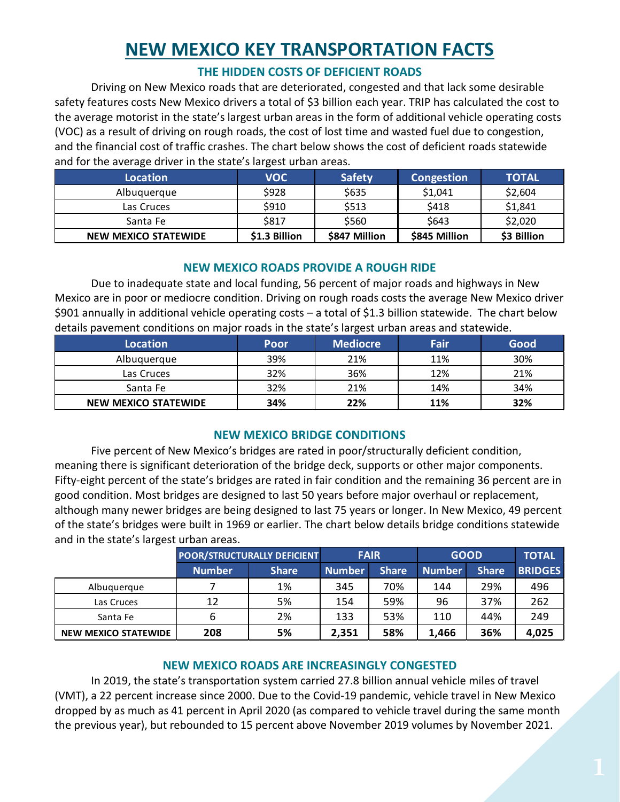# **NEW MEXICO KEY TRANSPORTATION FACTS**

# **THE HIDDEN COSTS OF DEFICIENT ROADS**

Driving on New Mexico roads that are deteriorated, congested and that lack some desirable safety features costs New Mexico drivers a total of \$3 billion each year. TRIP has calculated the cost to the average motorist in the state's largest urban areas in the form of additional vehicle operating costs (VOC) as a result of driving on rough roads, the cost of lost time and wasted fuel due to congestion, and the financial cost of traffic crashes. The chart below shows the cost of deficient roads statewide and for the average driver in the state's largest urban areas.

| Location                    | <b>VOC</b>    | <b>Safety</b> | <b>Congestion</b> | TOTAL       |
|-----------------------------|---------------|---------------|-------------------|-------------|
| Albuquerque                 | \$928         | \$635         | \$1,041           | \$2,604     |
| Las Cruces                  | \$910         | \$513         | \$418             | \$1,841     |
| Santa Fe                    | \$817         | \$560         | \$643             | \$2,020     |
| <b>NEW MEXICO STATEWIDE</b> | \$1.3 Billion | \$847 Million | \$845 Million     | \$3 Billion |

# **NEW MEXICO ROADS PROVIDE A ROUGH RIDE**

Due to inadequate state and local funding, 56 percent of major roads and highways in New Mexico are in poor or mediocre condition. Driving on rough roads costs the average New Mexico driver \$901 annually in additional vehicle operating costs – a total of \$1.3 billion statewide. The chart below details pavement conditions on major roads in the state's largest urban areas and statewide.

| Location                    | Poor | <b>Mediocre</b> | Fair | Good |
|-----------------------------|------|-----------------|------|------|
| Albuquerque                 | 39%  | 21%             | 11%  | 30%  |
| Las Cruces                  | 32%  | 36%             | 12%  | 21%  |
| Santa Fe                    | 32%  | 21%             | 14%  | 34%  |
| <b>NEW MEXICO STATEWIDE</b> | 34%  | 22%             | 11%  | 32%  |

# **NEW MEXICO BRIDGE CONDITIONS**

Five percent of New Mexico's bridges are rated in poor/structurally deficient condition, meaning there is significant deterioration of the bridge deck, supports or other major components. Fifty-eight percent of the state's bridges are rated in fair condition and the remaining 36 percent are in good condition. Most bridges are designed to last 50 years before major overhaul or replacement, although many newer bridges are being designed to last 75 years or longer. In New Mexico, 49 percent of the state's bridges were built in 1969 or earlier. The chart below details bridge conditions statewide and in the state's largest urban areas.

|                             | <b>POOR/STRUCTURALLY DEFICIENT</b> |              | <b>FAIR</b>   |              | <b>GOOD</b>   |              | <b>TOTAL</b>   |
|-----------------------------|------------------------------------|--------------|---------------|--------------|---------------|--------------|----------------|
|                             | <b>Number</b>                      | <b>Share</b> | <b>Number</b> | <b>Share</b> | <b>Number</b> | <b>Share</b> | <b>BRIDGES</b> |
| Albuguergue                 |                                    | 1%           | 345           | 70%          | 144           | 29%          | 496            |
| Las Cruces                  | 12                                 | 5%           | 154           | 59%          | 96            | 37%          | 262            |
| Santa Fe                    |                                    | 2%           | 133           | 53%          | 110           | 44%          | 249            |
| <b>NEW MEXICO STATEWIDE</b> | 208                                | 5%           | 2,351         | 58%          | 1.466         | 36%          | 4,025          |

# **NEW MEXICO ROADS ARE INCREASINGLY CONGESTED**

In 2019, the state's transportation system carried 27.8 billion annual vehicle miles of travel (VMT), a 22 percent increase since 2000. Due to the Covid-19 pandemic, vehicle travel in New Mexico dropped by as much as 41 percent in April 2020 (as compared to vehicle travel during the same month the previous year), but rebounded to 15 percent above November 2019 volumes by November 2021.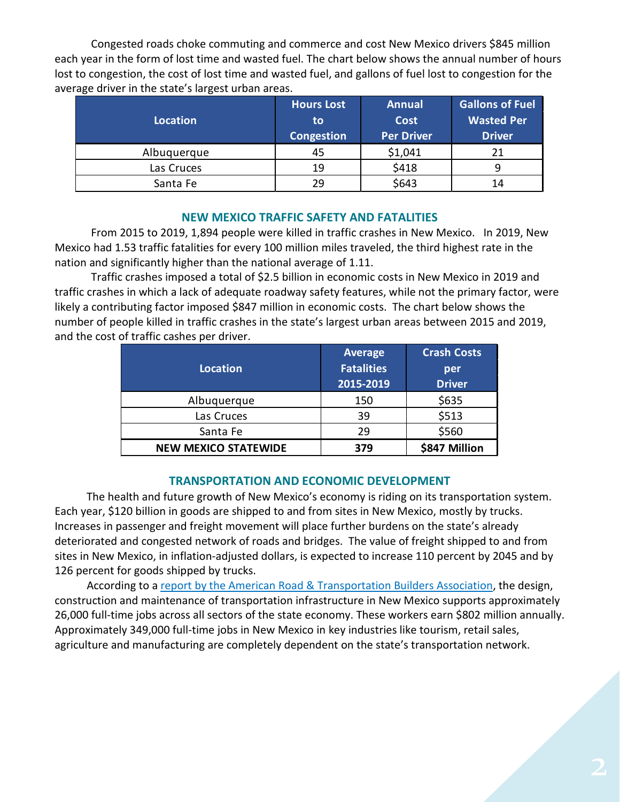Congested roads choke commuting and commerce and cost New Mexico drivers \$845 million each year in the form of lost time and wasted fuel. The chart below shows the annual number of hours lost to congestion, the cost of lost time and wasted fuel, and gallons of fuel lost to congestion for the average driver in the state's largest urban areas.

| <b>Location</b> | <b>Hours Lost</b><br>to | <b>Annual</b><br><b>Cost</b> | <b>Gallons of Fuel</b><br><b>Wasted Per</b> |  |
|-----------------|-------------------------|------------------------------|---------------------------------------------|--|
|                 | Congestion              | <b>Per Driver</b>            | <b>Driver</b>                               |  |
| Albuquerque     | 45                      | \$1,041                      |                                             |  |
| Las Cruces      | 19                      | \$418                        |                                             |  |
| Santa Fe        | 29                      | \$643                        | 14                                          |  |

#### **NEW MEXICO TRAFFIC SAFETY AND FATALITIES**

From 2015 to 2019, 1,894 people were killed in traffic crashes in New Mexico. In 2019, New Mexico had 1.53 traffic fatalities for every 100 million miles traveled, the third highest rate in the nation and significantly higher than the national average of 1.11.

Traffic crashes imposed a total of \$2.5 billion in economic costs in New Mexico in 2019 and traffic crashes in which a lack of adequate roadway safety features, while not the primary factor, were likely a contributing factor imposed \$847 million in economic costs. The chart below shows the number of people killed in traffic crashes in the state's largest urban areas between 2015 and 2019, and the cost of traffic cashes per driver.

| Location                    | <b>Average</b><br><b>Fatalities</b><br>2015-2019 | <b>Crash Costs</b><br>per<br><b>Driver</b> |
|-----------------------------|--------------------------------------------------|--------------------------------------------|
| Albuquerque                 | 150                                              | \$635                                      |
| Las Cruces                  | 39                                               | \$513                                      |
| Santa Fe                    | 29                                               | \$560                                      |
| <b>NEW MEXICO STATEWIDE</b> | 379                                              | \$847 Million                              |

#### **TRANSPORTATION AND ECONOMIC DEVELOPMENT**

The health and future growth of New Mexico's economy is riding on its transportation system. Each year, \$120 billion in goods are shipped to and from sites in New Mexico, mostly by trucks. Increases in passenger and freight movement will place further burdens on the state's already deteriorated and congested network of roads and bridges. The value of freight shipped to and from sites in New Mexico, in inflation-adjusted dollars, is expected to increase 110 percent by 2045 and by 126 percent for goods shipped by trucks.

According to a [report by the American Road & Transportation Builders Association,](https://www.transportationcreatesjobs.org/pdf/Economic_Profile.pdf) the design, construction and maintenance of transportation infrastructure in New Mexico supports approximately 26,000 full-time jobs across all sectors of the state economy. These workers earn \$802 million annually. Approximately 349,000 full-time jobs in New Mexico in key industries like tourism, retail sales, agriculture and manufacturing are completely dependent on the state's transportation network.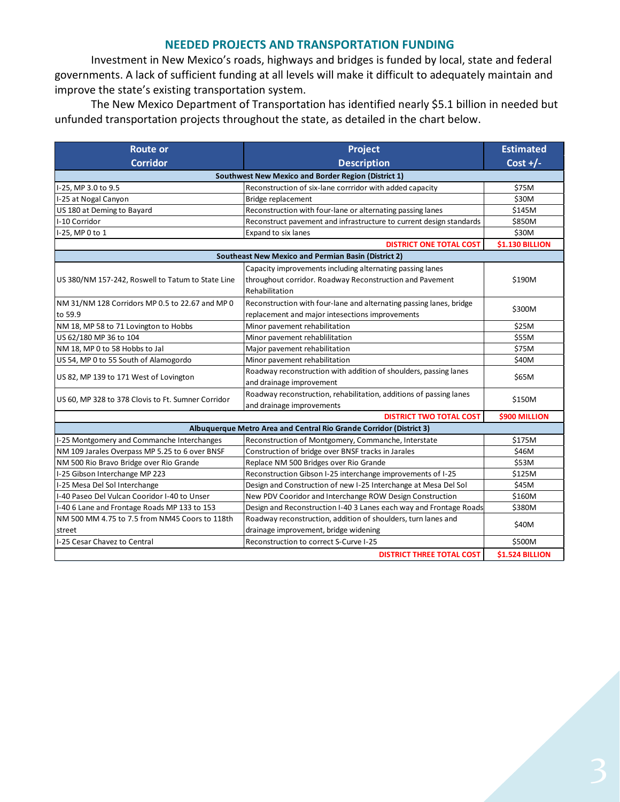#### **NEEDED PROJECTS AND TRANSPORTATION FUNDING**

Investment in New Mexico's roads, highways and bridges is funded by local, state and federal governments. A lack of sufficient funding at all levels will make it difficult to adequately maintain and improve the state's existing transportation system.

The New Mexico Department of Transportation has identified nearly \$5.1 billion in needed but unfunded transportation projects throughout the state, as detailed in the chart below.

| <b>Route or</b>                                     | <b>Project</b>                                                      | <b>Estimated</b>       |  |  |  |
|-----------------------------------------------------|---------------------------------------------------------------------|------------------------|--|--|--|
| <b>Corridor</b>                                     | <b>Description</b>                                                  | Cost $+/-$             |  |  |  |
| Southwest New Mexico and Border Region (District 1) |                                                                     |                        |  |  |  |
| I-25, MP 3.0 to 9.5                                 | Reconstruction of six-lane corrridor with added capacity            | \$75M                  |  |  |  |
| I-25 at Nogal Canyon                                | Bridge replacement                                                  | \$30M                  |  |  |  |
| US 180 at Deming to Bayard                          | Reconstruction with four-lane or alternating passing lanes          | \$145M                 |  |  |  |
| I-10 Corridor                                       | Reconstruct pavement and infrastructure to current design standards | \$850M                 |  |  |  |
| I-25, MP 0 to 1                                     | Expand to six lanes                                                 | \$30M                  |  |  |  |
|                                                     | <b>DISTRICT ONE TOTAL COST</b>                                      | <b>\$1.130 BILLION</b> |  |  |  |
|                                                     | <b>Southeast New Mexico and Permian Basin (District 2)</b>          |                        |  |  |  |
|                                                     | Capacity improvements including alternating passing lanes           |                        |  |  |  |
| US 380/NM 157-242, Roswell to Tatum to State Line   | throughout corridor. Roadway Reconstruction and Pavement            | \$190M                 |  |  |  |
|                                                     | Rehabilitation                                                      |                        |  |  |  |
| NM 31/NM 128 Corridors MP 0.5 to 22.67 and MP 0     | Reconstruction with four-lane and alternating passing lanes, bridge |                        |  |  |  |
| to 59.9                                             | replacement and major intesections improvements                     | \$300M                 |  |  |  |
| NM 18, MP 58 to 71 Lovington to Hobbs               | Minor pavement rehabilitation                                       | \$25M                  |  |  |  |
| US 62/180 MP 36 to 104                              | Minor pavement rehablilitation                                      | \$55M                  |  |  |  |
| NM 18, MP 0 to 58 Hobbs to Jal                      | Major pavement rehabilitation                                       | \$75M                  |  |  |  |
| US 54, MP 0 to 55 South of Alamogordo               | Minor pavement rehabilitation                                       | \$40M                  |  |  |  |
|                                                     | Roadway reconstruction with addition of shoulders, passing lanes    | \$65M                  |  |  |  |
| US 82, MP 139 to 171 West of Lovington              | and drainage improvement                                            |                        |  |  |  |
| US 60, MP 328 to 378 Clovis to Ft. Sumner Corridor  | Roadway reconstruction, rehabilitation, additions of passing lanes  | \$150M                 |  |  |  |
|                                                     | and drainage improvements                                           |                        |  |  |  |
|                                                     | <b>DISTRICT TWO TOTAL COST</b>                                      | \$900 MILLION          |  |  |  |
|                                                     | Albuquerque Metro Area and Central Rio Grande Corridor (District 3) |                        |  |  |  |
| I-25 Montgomery and Commanche Interchanges          | Reconstruction of Montgomery, Commanche, Interstate                 | \$175M                 |  |  |  |
| NM 109 Jarales Overpass MP 5.25 to 6 over BNSF      | Construction of bridge over BNSF tracks in Jarales                  | \$46M                  |  |  |  |
| NM 500 Rio Bravo Bridge over Rio Grande             | Replace NM 500 Bridges over Rio Grande                              | \$53M                  |  |  |  |
| I-25 Gibson Interchange MP 223                      | Reconstruction Gibson I-25 interchange improvements of I-25         | \$125M                 |  |  |  |
| I-25 Mesa Del Sol Interchange                       | Design and Construction of new I-25 Interchange at Mesa Del Sol     | \$45M                  |  |  |  |
| I-40 Paseo Del Vulcan Cooridor I-40 to Unser        | New PDV Cooridor and Interchange ROW Design Construction            | \$160M                 |  |  |  |
| I-40 6 Lane and Frontage Roads MP 133 to 153        | Design and Reconstruction I-40 3 Lanes each way and Frontage Roads  | \$380M                 |  |  |  |
| NM 500 MM 4.75 to 7.5 from NM45 Coors to 118th      | Roadway reconstruction, addition of shoulders, turn lanes and       | \$40M                  |  |  |  |
| street                                              | drainage improvement, bridge widening                               |                        |  |  |  |
| I-25 Cesar Chavez to Central                        | Reconstruction to correct S-Curve I-25                              | \$500M                 |  |  |  |
|                                                     | <b>DISTRICT THREE TOTAL COST</b>                                    | <b>\$1.524 BILLION</b> |  |  |  |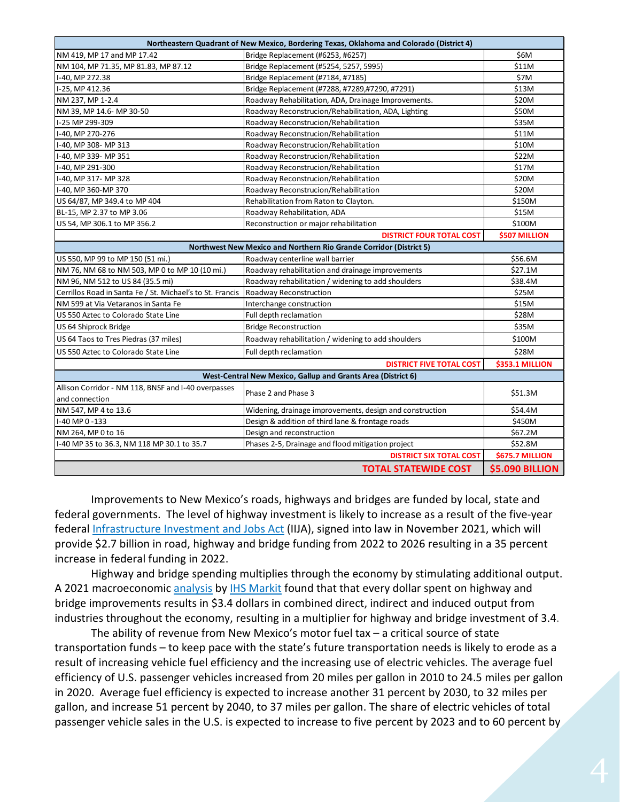| Northeastern Quadrant of New Mexico, Bordering Texas, Oklahoma and Colorado (District 4) |                                                                    |                        |  |  |
|------------------------------------------------------------------------------------------|--------------------------------------------------------------------|------------------------|--|--|
| NM 419, MP 17 and MP 17.42                                                               | Bridge Replacement (#6253, #6257)                                  | \$6M                   |  |  |
| NM 104, MP 71.35, MP 81.83, MP 87.12                                                     | Bridge Replacement (#5254, 5257, 5995)                             | \$11M                  |  |  |
| I-40, MP 272.38                                                                          | Bridge Replacement (#7184, #7185)                                  | \$7M                   |  |  |
| I-25, MP 412.36                                                                          | Bridge Replacement (#7288, #7289,#7290, #7291)                     | \$13M                  |  |  |
| NM 237, MP 1-2.4                                                                         | Roadway Rehabilitation, ADA, Drainage Improvements.                | \$20M                  |  |  |
| NM 39, MP 14.6- MP 30-50                                                                 | Roadway Reconstrucion/Rehabilitation, ADA, Lighting                | \$50M                  |  |  |
| I-25 MP 299-309                                                                          | Roadway Reconstrucion/Rehabilitation                               | \$35M                  |  |  |
| I-40. MP 270-276                                                                         | Roadway Reconstrucion/Rehabilitation                               | \$11M                  |  |  |
| I-40, MP 308- MP 313                                                                     | Roadway Reconstrucion/Rehabilitation                               | \$10M                  |  |  |
| I-40, MP 339- MP 351                                                                     | Roadway Reconstrucion/Rehabilitation                               | \$22M                  |  |  |
| I-40, MP 291-300                                                                         | Roadway Reconstrucion/Rehabilitation                               | \$17M                  |  |  |
| I-40, MP 317- MP 328                                                                     | Roadway Reconstrucion/Rehabilitation                               | \$20M                  |  |  |
| I-40, MP 360-MP 370                                                                      | Roadway Reconstrucion/Rehabilitation                               | \$20M                  |  |  |
| US 64/87, MP 349.4 to MP 404                                                             | Rehabilitation from Raton to Clayton.                              | \$150M                 |  |  |
| BL-15, MP 2.37 to MP 3.06                                                                | Roadway Rehabilitation, ADA                                        | \$15M                  |  |  |
| US 54, MP 306.1 to MP 356.2                                                              | Reconstruction or major rehabilitation                             | \$100M                 |  |  |
| <b>DISTRICT FOUR TOTAL COST</b><br>\$507 MILLION                                         |                                                                    |                        |  |  |
|                                                                                          | Northwest New Mexico and Northern Rio Grande Corridor (District 5) |                        |  |  |
| US 550, MP 99 to MP 150 (51 mi.)                                                         | Roadway centerline wall barrier                                    | \$56.6M                |  |  |
| NM 76, NM 68 to NM 503, MP 0 to MP 10 (10 mi.)                                           | Roadway rehabilitation and drainage improvements                   | \$27.1M                |  |  |
| NM 96, NM 512 to US 84 (35.5 mi)                                                         | Roadway rehabilitation / widening to add shoulders                 | \$38.4M                |  |  |
| Cerrillos Road in Santa Fe / St. Michael's to St. Francis                                | Roadway Reconstruction<br>\$25M                                    |                        |  |  |
| NM 599 at Via Vetaranos in Santa Fe                                                      | Interchange construction                                           | \$15M                  |  |  |
| US 550 Aztec to Colorado State Line                                                      | Full depth reclamation                                             | \$28M                  |  |  |
| US 64 Shiprock Bridge                                                                    | <b>Bridge Reconstruction</b>                                       | \$35M                  |  |  |
| US 64 Taos to Tres Piedras (37 miles)                                                    | Roadway rehabilitation / widening to add shoulders                 | \$100M                 |  |  |
| US 550 Aztec to Colorado State Line                                                      | Full depth reclamation                                             | \$28M                  |  |  |
|                                                                                          | <b>DISTRICT FIVE TOTAL COST</b>                                    | <b>\$353.1 MILLION</b> |  |  |
|                                                                                          | West-Central New Mexico, Gallup and Grants Area (District 6)       |                        |  |  |
| Allison Corridor - NM 118, BNSF and I-40 overpasses                                      | Phase 2 and Phase 3                                                | \$51.3M                |  |  |
| and connection                                                                           |                                                                    |                        |  |  |
| NM 547, MP 4 to 13.6                                                                     | Widening, drainage improvements, design and construction           | \$54.4M                |  |  |
| I-40 MP 0-133                                                                            | Design & addition of third lane & frontage roads                   | \$450M                 |  |  |
| NM 264, MP 0 to 16                                                                       | Design and reconstruction                                          | \$67.2M                |  |  |
| I-40 MP 35 to 36.3, NM 118 MP 30.1 to 35.7                                               | Phases 2-5, Drainage and flood mitigation project                  | \$52.8M                |  |  |
| <b>DISTRICT SIX TOTAL COST</b><br>\$675.7 MILLION                                        |                                                                    |                        |  |  |
| <b>\$5.090 BILLION</b><br><b>TOTAL STATEWIDE COST</b>                                    |                                                                    |                        |  |  |

Improvements to New Mexico's roads, highways and bridges are funded by local, state and federal governments. The level of highway investment is likely to increase as a result of the five-year federal [Infrastructure Investment and Jobs Act](https://www.congress.gov/bill/117th-congress/house-bill/3684/text) (IIJA), signed into law in November 2021, which will provide \$2.7 billion in road, highway and bridge funding from 2022 to 2026 resulting in a 35 percent increase in federal funding in 2022.

Highway and bridge spending multiplies through the economy by stimulating additional output. A 2021 macroeconomic [analysis](https://www.artba.org/wp-content/uploads/federal-investment/iija/ARTBA_EIA_IIJA_Report_Sept2021.pdf) by [IHS Markit](https://ihsmarkit.com/index.html) found that that every dollar spent on highway and bridge improvements results in \$3.4 dollars in combined direct, indirect and induced output from industries throughout the economy, resulting in a multiplier for highway and bridge investment of 3.4.

The ability of revenue from New Mexico's motor fuel tax – a critical source of state transportation funds – to keep pace with the state's future transportation needs is likely to erode as a result of increasing vehicle fuel efficiency and the increasing use of electric vehicles. The average fuel efficiency of U.S. passenger vehicles increased from 20 miles per gallon in 2010 to 24.5 miles per gallon in 2020. Average fuel efficiency is expected to increase another 31 percent by 2030, to 32 miles per gallon, and increase 51 percent by 2040, to 37 miles per gallon. The share of electric vehicles of total passenger vehicle sales in the U.S. is expected to increase to five percent by 2023 and to 60 percent by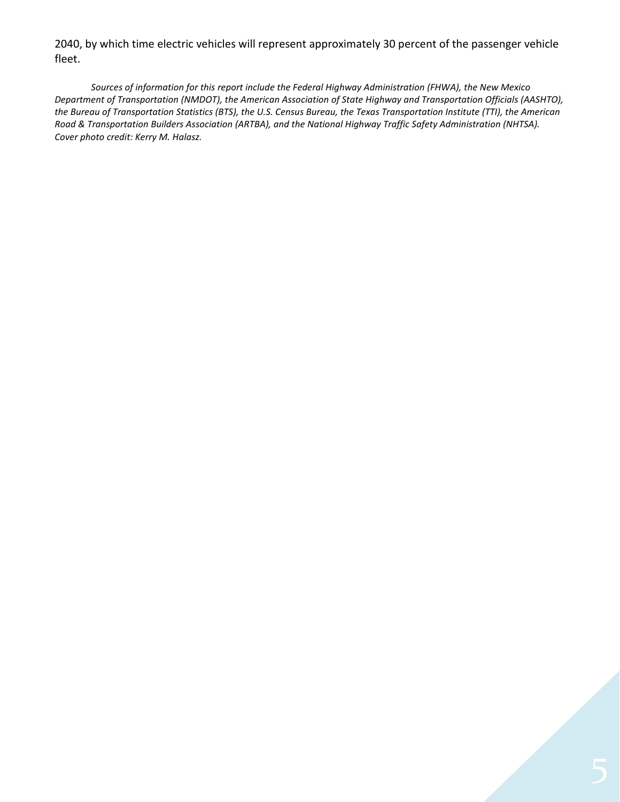2040, by which time electric vehicles will represent approximately 30 percent of the passenger vehicle fleet.

*Sources of information for this report include the Federal Highway Administration (FHWA), the New Mexico Department of Transportation (NMDOT), the American Association of State Highway and Transportation Officials (AASHTO), the Bureau of Transportation Statistics (BTS), the U.S. Census Bureau, the Texas Transportation Institute (TTI), the American Road & Transportation Builders Association (ARTBA), and the National Highway Traffic Safety Administration (NHTSA). Cover photo credit: Kerry M. Halasz.*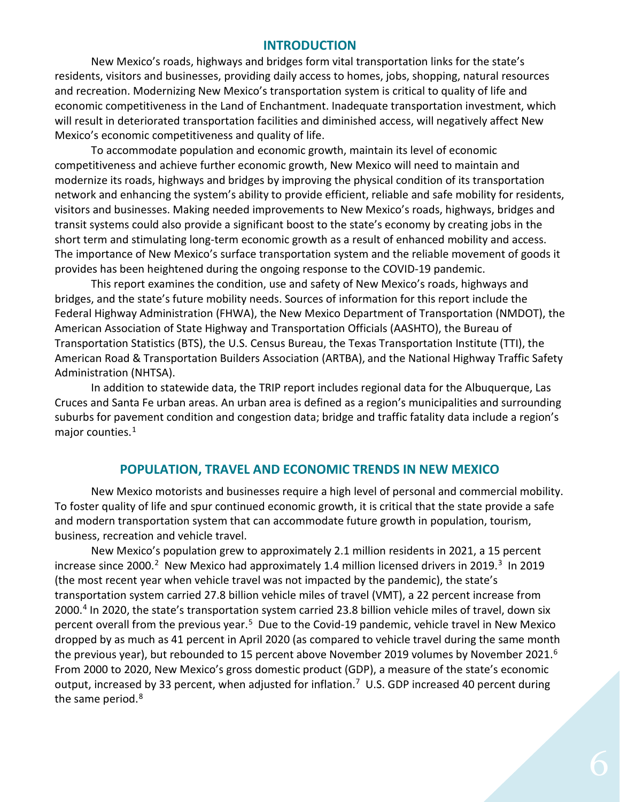#### **INTRODUCTION**

New Mexico's roads, highways and bridges form vital transportation links for the state's residents, visitors and businesses, providing daily access to homes, jobs, shopping, natural resources and recreation. Modernizing New Mexico's transportation system is critical to quality of life and economic competitiveness in the Land of Enchantment. Inadequate transportation investment, which will result in deteriorated transportation facilities and diminished access, will negatively affect New Mexico's economic competitiveness and quality of life.

To accommodate population and economic growth, maintain its level of economic competitiveness and achieve further economic growth, New Mexico will need to maintain and modernize its roads, highways and bridges by improving the physical condition of its transportation network and enhancing the system's ability to provide efficient, reliable and safe mobility for residents, visitors and businesses. Making needed improvements to New Mexico's roads, highways, bridges and transit systems could also provide a significant boost to the state's economy by creating jobs in the short term and stimulating long-term economic growth as a result of enhanced mobility and access. The importance of New Mexico's surface transportation system and the reliable movement of goods it provides has been heightened during the ongoing response to the COVID-19 pandemic.

This report examines the condition, use and safety of New Mexico's roads, highways and bridges, and the state's future mobility needs. Sources of information for this report include the Federal Highway Administration (FHWA), the New Mexico Department of Transportation (NMDOT), the American Association of State Highway and Transportation Officials (AASHTO), the Bureau of Transportation Statistics (BTS), the U.S. Census Bureau, the Texas Transportation Institute (TTI), the American Road & Transportation Builders Association (ARTBA), and the National Highway Traffic Safety Administration (NHTSA).

In addition to statewide data, the TRIP report includes regional data for the Albuquerque, Las Cruces and Santa Fe urban areas. An urban area is defined as a region's municipalities and surrounding suburbs for pavement condition and congestion data; bridge and traffic fatality data include a region's major counties.<sup>[1](#page-17-0)</sup>

# **POPULATION, TRAVEL AND ECONOMIC TRENDS IN NEW MEXICO**

New Mexico motorists and businesses require a high level of personal and commercial mobility. To foster quality of life and spur continued economic growth, it is critical that the state provide a safe and modern transportation system that can accommodate future growth in population, tourism, business, recreation and vehicle travel.

New Mexico's population grew to approximately 2.1 million residents in 2021, a 15 percent increase since 2000.<sup>2</sup> New Mexico had approximately 1.4 million licensed drivers in 2019.<sup>[3](#page-17-2)</sup> In 2019 (the most recent year when vehicle travel was not impacted by the pandemic), the state's transportation system carried 27.8 billion vehicle miles of travel (VMT), a 22 percent increase from 2000. [4](#page-17-3) In 2020, the state's transportation system carried 23.8 billion vehicle miles of travel, down six percent overall from the previous year.<sup>5</sup> Due to the Covid-19 pandemic, vehicle travel in New Mexico dropped by as much as 41 percent in April 2020 (as compared to vehicle travel during the same month the previous year), but rebounded to 15 percent above November 2019 volumes by November 2021.<sup>6</sup> From 2000 to 2020, New Mexico's gross domestic product (GDP), a measure of the state's economic output, increased by 33 percent, when adjusted for inflation.<sup>7</sup> U.S. GDP increased 40 percent during the same period.<sup>[8](#page-17-7)</sup>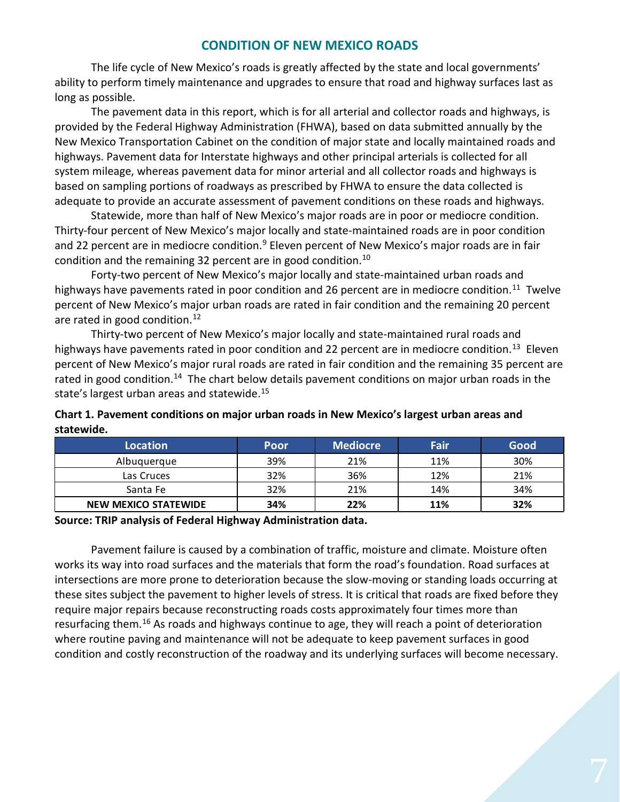# **CONDITION OF NEW MEXICO ROADS**

The life cycle of New Mexico's roads is greatly affected by the state and local governments' ability to perform timely maintenance and upgrades to ensure that road and highway surfaces last as long as possible.

The pavement data in this report, which is for all arterial and collector roads and highways, is provided by the Federal Highway Administration (FHWA), based on data submitted annually by the New Mexico Transportation Cabinet on the condition of major state and locally maintained roads and highways. Pavement data for Interstate highways and other principal arterials is collected for all system mileage, whereas pavement data for minor arterial and all collector roads and highways is based on sampling portions of roadways as prescribed by FHWA to ensure the data collected is adequate to provide an accurate assessment of pavement conditions on these roads and highways.

Statewide, more than half of New Mexico's major roads are in poor or mediocre condition. Thirty-four percent of New Mexico's major locally and state-maintained roads are in poor condition and 22 percent are in mediocre condition.<sup>9</sup> Eleven percent of New Mexico's major roads are in fair condition and the remaining 32 percent are in good condition.<sup>[10](#page-17-9)</sup>

Forty-two percent of New Mexico's major locally and state-maintained urban roads and highways have pavements rated in poor condition and 26 percent are in mediocre condition.<sup>[11](#page-17-10)</sup> Twelve percent of New Mexico's major urban roads are rated in fair condition and the remaining 20 percent are rated in good condition.<sup>12</sup>

Thirty-two percent of New Mexico's major locally and state-maintained rural roads and highways have pavements rated in poor condition and 22 percent are in mediocre condition.<sup>[13](#page-17-12)</sup> Eleven percent of New Mexico's major rural roads are rated in fair condition and the remaining 35 percent are rated in good condition.<sup>14</sup> The chart below details pavement conditions on major urban roads in the state's largest urban areas and statewide. [15](#page-17-14)

| Chart 1. Pavement conditions on major urban roads in New Mexico's largest urban areas and |
|-------------------------------------------------------------------------------------------|
| statewide.                                                                                |

| <b>Location</b>      | Poor | <b>Mediocre</b> | Fair | Good |
|----------------------|------|-----------------|------|------|
| Albuquerque          | 39%  | 21%             | 11%  | 30%  |
| Las Cruces           | 32%  | 36%             | 12%  | 21%  |
| Santa Fe             | 32%  | 21%             | 14%  | 34%  |
| NEW MEXICO STATEWIDE | 34%  | 22%             | 11%  | 32%  |

**Source: TRIP analysis of Federal Highway Administration data.** 

Pavement failure is caused by a combination of traffic, moisture and climate. Moisture often works its way into road surfaces and the materials that form the road's foundation. Road surfaces at intersections are more prone to deterioration because the slow-moving or standing loads occurring at these sites subject the pavement to higher levels of stress. It is critical that roads are fixed before they require major repairs because reconstructing roads costs approximately four times more than resurfacing them.[16](#page-17-15) As roads and highways continue to age, they will reach a point of deterioration where routine paving and maintenance will not be adequate to keep pavement surfaces in good condition and costly reconstruction of the roadway and its underlying surfaces will become necessary.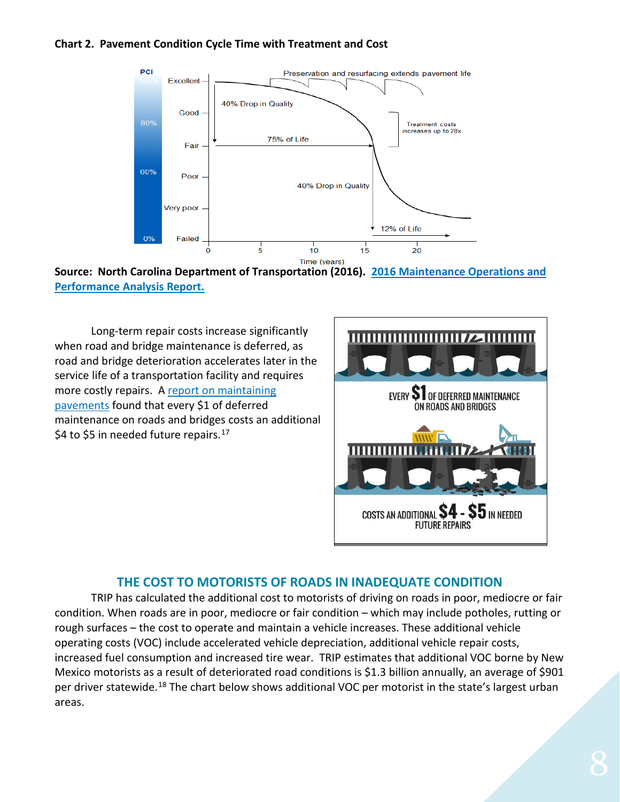#### **Chart 2. Pavement Condition Cycle Time with Treatment and Cost**



**Source: North Carolina Department of Transportation (2016). [2016 Maintenance Operations and](https://connect.ncdot.gov/resources/Asset-Management/MSADocuments/2016%20Maintenance%20Operations%20and%20Performance%20Analysis%20Report%20(MOPAR).pdf)  [Performance Analysis Report.](https://connect.ncdot.gov/resources/Asset-Management/MSADocuments/2016%20Maintenance%20Operations%20and%20Performance%20Analysis%20Report%20(MOPAR).pdf)**

Long-term repair costs increase significantly when road and bridge maintenance is deferred, as road and bridge deterioration accelerates later in the service life of a transportation facility and requires more costly repairs. [A report on maintaining](https://www.yumpu.com/en/document/view/9021768/pavement-maintenance-cornell-local-roads-program-cornell-/4)  [pavements](https://www.yumpu.com/en/document/view/9021768/pavement-maintenance-cornell-local-roads-program-cornell-/4) found that every \$1 of deferred maintenance on roads and bridges costs an additional \$4 to \$5 in needed future repairs. $17$ 



# **THE COST TO MOTORISTS OF ROADS IN INADEQUATE CONDITION**

TRIP has calculated the additional cost to motorists of driving on roads in poor, mediocre or fair condition. When roads are in poor, mediocre or fair condition – which may include potholes, rutting or rough surfaces – the cost to operate and maintain a vehicle increases. These additional vehicle operating costs (VOC) include accelerated vehicle depreciation, additional vehicle repair costs, increased fuel consumption and increased tire wear. TRIP estimates that additional VOC borne by New Mexico motorists as a result of deteriorated road conditions is \$1.3 billion annually, an average of \$901 per driver statewide.<sup>[18](#page-17-17)</sup> The chart below shows additional VOC per motorist in the state's largest urban areas.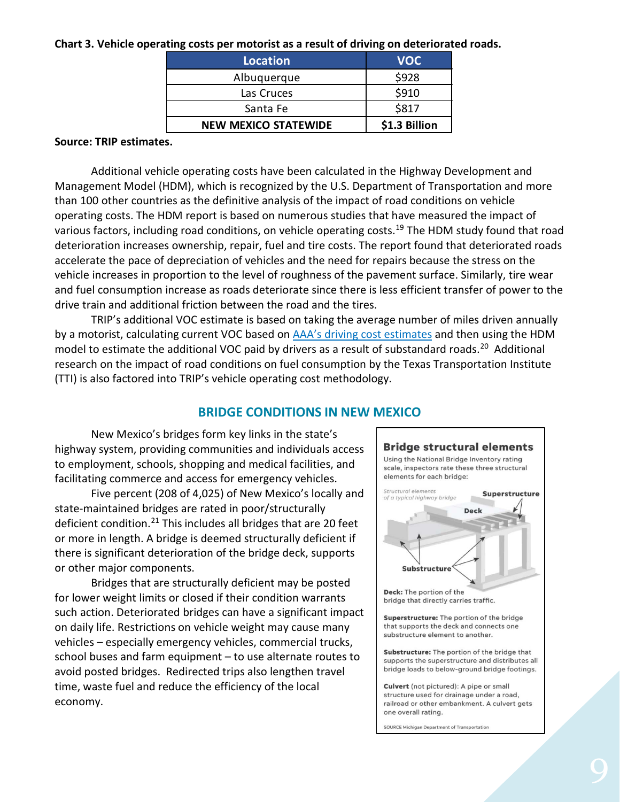#### **Chart 3. Vehicle operating costs per motorist as a result of driving on deteriorated roads.**

| <b>Location</b>             | <b>VOC</b>    |
|-----------------------------|---------------|
| Albuquerque                 | \$928         |
| Las Cruces                  | \$910         |
| Santa Fe                    | \$817         |
| <b>NEW MEXICO STATEWIDE</b> | \$1.3 Billion |

#### **Source: TRIP estimates.**

Additional vehicle operating costs have been calculated in the Highway Development and Management Model (HDM), which is recognized by the U.S. Department of Transportation and more than 100 other countries as the definitive analysis of the impact of road conditions on vehicle operating costs. The HDM report is based on numerous studies that have measured the impact of various factors, including road conditions, on vehicle operating costs.<sup>[19](#page-17-18)</sup> The HDM study found that road deterioration increases ownership, repair, fuel and tire costs. The report found that deteriorated roads accelerate the pace of depreciation of vehicles and the need for repairs because the stress on the vehicle increases in proportion to the level of roughness of the pavement surface. Similarly, tire wear and fuel consumption increase as roads deteriorate since there is less efficient transfer of power to the drive train and additional friction between the road and the tires.

TRIP's additional VOC estimate is based on taking the average number of miles driven annually by a motorist, calculating current VOC based on [AAA's driving cost estimates](https://www.aaa.com/AAA/common/AAR/files/AAA-Your-Driving-Costs.pdf) and then using the HDM model to estimate the additional VOC paid by drivers as a result of substandard roads.<sup>20</sup> Additional research on the impact of road conditions on fuel consumption by the Texas Transportation Institute (TTI) is also factored into TRIP's vehicle operating cost methodology.

#### **BRIDGE CONDITIONS IN NEW MEXICO**

New Mexico's bridges form key links in the state's highway system, providing communities and individuals access to employment, schools, shopping and medical facilities, and facilitating commerce and access for emergency vehicles.

Five percent (208 of 4,025) of New Mexico's locally and state-maintained bridges are rated in poor/structurally deficient condition. [21](#page-17-20) This includes all bridges that are 20 feet or more in length. A bridge is deemed structurally deficient if there is significant deterioration of the bridge deck, supports or other major components.

Bridges that are structurally deficient may be posted for lower weight limits or closed if their condition warrants such action. Deteriorated bridges can have a significant impact on daily life. Restrictions on vehicle weight may cause many vehicles – especially emergency vehicles, commercial trucks, school buses and farm equipment – to use alternate routes to avoid posted bridges. Redirected trips also lengthen travel time, waste fuel and reduce the efficiency of the local economy.

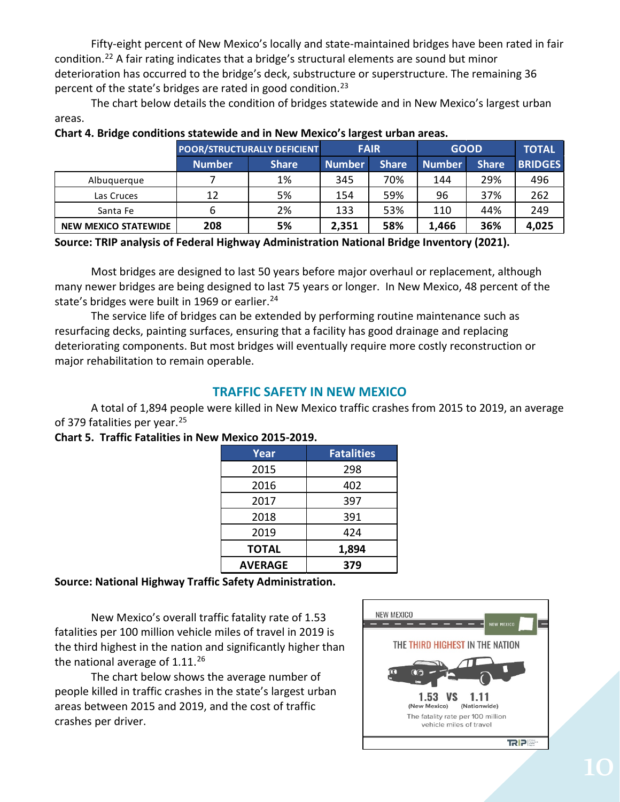Fifty-eight percent of New Mexico's locally and state-maintained bridges have been rated in fair condition.[22](#page-17-21) A fair rating indicates that a bridge's structural elements are sound but minor deterioration has occurred to the bridge's deck, substructure or superstructure. The remaining 36 percent of the state's bridges are rated in good condition.<sup>[23](#page-17-22)</sup>

The chart below details the condition of bridges statewide and in New Mexico's largest urban areas.

| . .                         |                                    |              | ັ             |              |               |              |                |
|-----------------------------|------------------------------------|--------------|---------------|--------------|---------------|--------------|----------------|
|                             | <b>POOR/STRUCTURALLY DEFICIENT</b> |              | <b>FAIR</b>   |              | <b>GOOD</b>   |              | <b>TOTAL</b>   |
|                             | <b>Number</b>                      | <b>Share</b> | <b>Number</b> | <b>Share</b> | <b>Number</b> | <b>Share</b> | <b>BRIDGES</b> |
| Albuquerque                 |                                    | 1%           | 345           | 70%          | 144           | 29%          | 496            |
| Las Cruces                  | 12                                 | 5%           | 154           | 59%          | 96            | 37%          | 262            |
| Santa Fe                    |                                    | 2%           | 133           | 53%          | 110           | 44%          | 249            |
| <b>NEW MEXICO STATEWIDE</b> | 208                                | 5%           | 2,351         | 58%          | 1,466         | 36%          | 4,025          |

# **Chart 4. Bridge conditions statewide and in New Mexico's largest urban areas.**

**Source: TRIP analysis of Federal Highway Administration National Bridge Inventory (2021).**

Most bridges are designed to last 50 years before major overhaul or replacement, although many newer bridges are being designed to last 75 years or longer. In New Mexico, 48 percent of the state's bridges were built in 1969 or earlier.<sup>[24](#page-17-23)</sup>

The service life of bridges can be extended by performing routine maintenance such as resurfacing decks, painting surfaces, ensuring that a facility has good drainage and replacing deteriorating components. But most bridges will eventually require more costly reconstruction or major rehabilitation to remain operable.

# **TRAFFIC SAFETY IN NEW MEXICO**

A total of 1,894 people were killed in New Mexico traffic crashes from 2015 to 2019, an average of 379 fatalities per year.<sup>[25](#page-17-24)</sup>

#### **Chart 5. Traffic Fatalities in New Mexico 2015-2019.**

| Year           | <b>Fatalities</b> |
|----------------|-------------------|
| 2015           | 298               |
| 2016           | 402               |
| 2017           | 397               |
| 2018           | 391               |
| 2019           | 424               |
| <b>TOTAL</b>   | 1,894             |
| <b>AVERAGE</b> | 379               |

# **Source: National Highway Traffic Safety Administration.**

New Mexico's overall traffic fatality rate of 1.53 fatalities per 100 million vehicle miles of travel in 2019 is the third highest in the nation and significantly higher than the national average of 1.11.<sup>[26](#page-17-25)</sup>

The chart below shows the average number of people killed in traffic crashes in the state's largest urban areas between 2015 and 2019, and the cost of traffic crashes per driver.

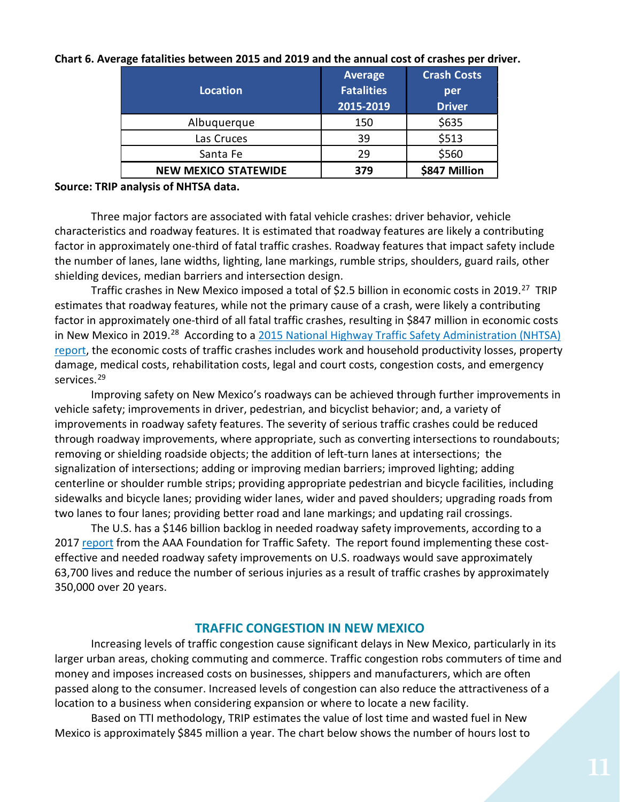| Location                    | <b>Average</b><br><b>Fatalities</b><br>2015-2019 | <b>Crash Costs</b><br>per<br><b>Driver</b> |
|-----------------------------|--------------------------------------------------|--------------------------------------------|
| Albuquerque                 | 150                                              | \$635                                      |
| Las Cruces                  | 39                                               | \$513                                      |
| Santa Fe                    | 29                                               | \$560                                      |
| <b>NEW MEXICO STATEWIDE</b> | 379                                              | \$847 Million                              |

**Chart 6. Average fatalities between 2015 and 2019 and the annual cost of crashes per driver.**

#### **Source: TRIP analysis of NHTSA data.**

Three major factors are associated with fatal vehicle crashes: driver behavior, vehicle characteristics and roadway features. It is estimated that roadway features are likely a contributing factor in approximately one-third of fatal traffic crashes. Roadway features that impact safety include the number of lanes, lane widths, lighting, lane markings, rumble strips, shoulders, guard rails, other shielding devices, median barriers and intersection design.

Traffic crashes in New Mexico imposed a total of \$2.5 billion in economic costs in 2019.<sup>[27](#page-17-26)</sup> TRIP estimates that roadway features, while not the primary cause of a crash, were likely a contributing factor in approximately one-third of all fatal traffic crashes, resulting in \$847 million in economic costs in New Mexico in 2019.<sup>28</sup> According to a [2015 National Highway Traffic](file://EgnyteDrive/tripcloud/Shared/TRIP%20Staff%20Folders/Active%20State%20Reports%202019/Alabama/According%20to%20a%202015%20National%20Highway%20Traffic%20Safety%20Administration%20(NHTSA)%20report,) Safety Administration (NHTSA) [report,](file://EgnyteDrive/tripcloud/Shared/TRIP%20Staff%20Folders/Active%20State%20Reports%202019/Alabama/According%20to%20a%202015%20National%20Highway%20Traffic%20Safety%20Administration%20(NHTSA)%20report,) the economic costs of traffic crashes includes work and household productivity losses, property damage, medical costs, rehabilitation costs, legal and court costs, congestion costs, and emergency services.<sup>[29](#page-17-28)</sup>

Improving safety on New Mexico's roadways can be achieved through further improvements in vehicle safety; improvements in driver, pedestrian, and bicyclist behavior; and, a variety of improvements in roadway safety features. The severity of serious traffic crashes could be reduced through roadway improvements, where appropriate, such as converting intersections to roundabouts; removing or shielding roadside objects; the addition of left-turn lanes at intersections; the signalization of intersections; adding or improving median barriers; improved lighting; adding centerline or shoulder rumble strips; providing appropriate pedestrian and bicycle facilities, including sidewalks and bicycle lanes; providing wider lanes, wider and paved shoulders; upgrading roads from two lanes to four lanes; providing better road and lane markings; and updating rail crossings.

The U.S. has a \$146 billion backlog in needed roadway safety improvements, according to a 2017 [report](https://aaafoundation.org/wp-content/uploads/2017/05/SafetyBenefitsofHighway.pdf) from the AAA Foundation for Traffic Safety. The report found implementing these costeffective and needed roadway safety improvements on U.S. roadways would save approximately 63,700 lives and reduce the number of serious injuries as a result of traffic crashes by approximately 350,000 over 20 years.

#### **TRAFFIC CONGESTION IN NEW MEXICO**

Increasing levels of traffic congestion cause significant delays in New Mexico, particularly in its larger urban areas, choking commuting and commerce. Traffic congestion robs commuters of time and money and imposes increased costs on businesses, shippers and manufacturers, which are often passed along to the consumer. Increased levels of congestion can also reduce the attractiveness of a location to a business when considering expansion or where to locate a new facility.

Based on TTI methodology, TRIP estimates the value of lost time and wasted fuel in New Mexico is approximately \$845 million a year. The chart below shows the number of hours lost to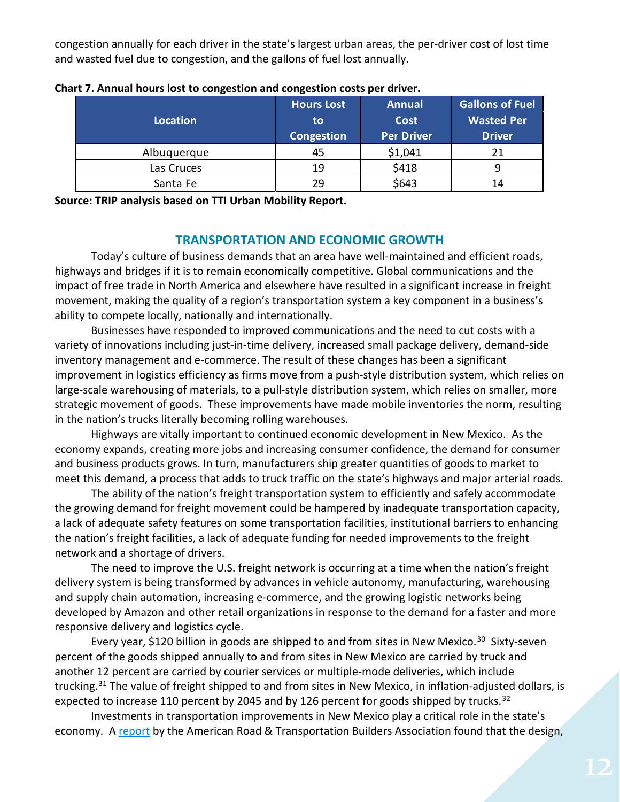congestion annually for each driver in the state's largest urban areas, the per-driver cost of lost time and wasted fuel due to congestion, and the gallons of fuel lost annually.

|                 | <b>Hours Lost</b> | <b>Annual</b>     | <b>Gallons of Fuel</b> |
|-----------------|-------------------|-------------------|------------------------|
| <b>Location</b> | to.               | <b>Cost</b>       | <b>Wasted Per</b>      |
|                 | Congestion        | <b>Per Driver</b> | <b>Driver</b>          |
| Albuquerque     | 45                | \$1,041           | 21                     |
| Las Cruces      | 19                | \$418             |                        |
| Santa Fe        | 29                | \$643             | 14                     |

| Chart 7. Annual hours lost to congestion and congestion costs per driver. |  |  |  |
|---------------------------------------------------------------------------|--|--|--|
|---------------------------------------------------------------------------|--|--|--|

**Source: TRIP analysis based on TTI Urban Mobility Report.**

# **TRANSPORTATION AND ECONOMIC GROWTH**

Today's culture of business demands that an area have well-maintained and efficient roads, highways and bridges if it is to remain economically competitive. Global communications and the impact of free trade in North America and elsewhere have resulted in a significant increase in freight movement, making the quality of a region's transportation system a key component in a business's ability to compete locally, nationally and internationally.

Businesses have responded to improved communications and the need to cut costs with a variety of innovations including just-in-time delivery, increased small package delivery, demand-side inventory management and e-commerce. The result of these changes has been a significant improvement in logistics efficiency as firms move from a push-style distribution system, which relies on large-scale warehousing of materials, to a pull-style distribution system, which relies on smaller, more strategic movement of goods. These improvements have made mobile inventories the norm, resulting in the nation's trucks literally becoming rolling warehouses.

Highways are vitally important to continued economic development in New Mexico. As the economy expands, creating more jobs and increasing consumer confidence, the demand for consumer and business products grows. In turn, manufacturers ship greater quantities of goods to market to meet this demand, a process that adds to truck traffic on the state's highways and major arterial roads.

The ability of the nation's freight transportation system to efficiently and safely accommodate the growing demand for freight movement could be hampered by inadequate transportation capacity, a lack of adequate safety features on some transportation facilities, institutional barriers to enhancing the nation's freight facilities, a lack of adequate funding for needed improvements to the freight network and a shortage of drivers.

The need to improve the U.S. freight network is occurring at a time when the nation's freight delivery system is being transformed by advances in vehicle autonomy, manufacturing, warehousing and supply chain automation, increasing e-commerce, and the growing logistic networks being developed by Amazon and other retail organizations in response to the demand for a faster and more responsive delivery and logistics cycle.

Every year, \$120 billion in goods are shipped to and from sites in New Mexico.<sup>30</sup> Sixty-seven percent of the goods shipped annually to and from sites in New Mexico are carried by truck and another 12 percent are carried by courier services or multiple-mode deliveries, which include trucking.<sup>[31](#page-17-30)</sup> The value of freight shipped to and from sites in New Mexico, in inflation-adjusted dollars, is expected to increase 110 percent by 2045 and by 126 percent for goods shipped by trucks.<sup>[32](#page-17-31)</sup>

Investments in transportation improvements in New Mexico play a critical role in the state's economy. A [report](https://www.transportationcreatesjobs.org/pdf/Economic_Profile.pdf) by the American Road & Transportation Builders Association found that the design,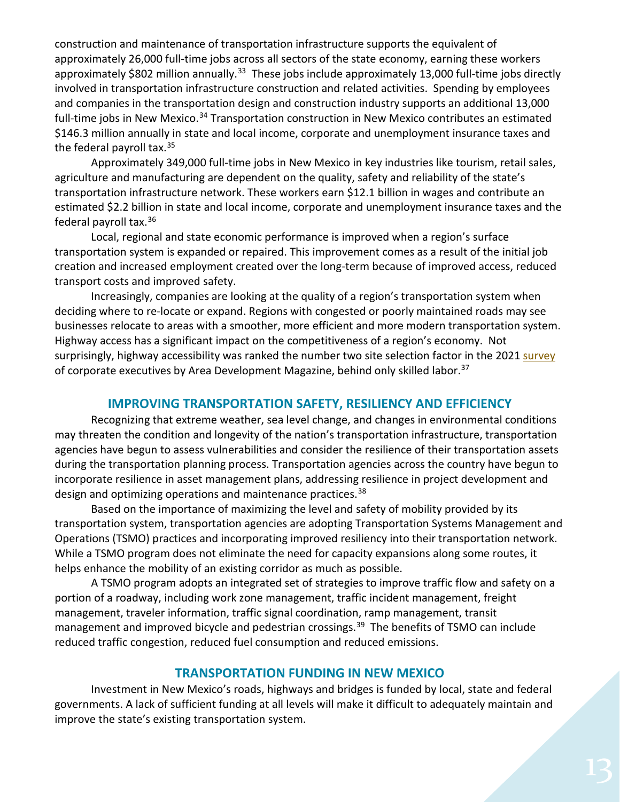construction and maintenance of transportation infrastructure supports the equivalent of approximately 26,000 full-time jobs across all sectors of the state economy, earning these workers approximately \$802 million annually.<sup>[33](#page-17-32)</sup> These jobs include approximately 13,000 full-time jobs directly involved in transportation infrastructure construction and related activities. Spending by employees and companies in the transportation design and construction industry supports an additional 13,000 full-time jobs in New Mexico.<sup>[34](#page-17-33)</sup> Transportation construction in New Mexico contributes an estimated \$146.3 million annually in state and local income, corporate and unemployment insurance taxes and the federal payroll tax.<sup>[35](#page-17-34)</sup>

Approximately 349,000 full-time jobs in New Mexico in key industries like tourism, retail sales, agriculture and manufacturing are dependent on the quality, safety and reliability of the state's transportation infrastructure network. These workers earn \$12.1 billion in wages and contribute an estimated \$2.2 billion in state and local income, corporate and unemployment insurance taxes and the federal payroll tax.[36](#page-17-35)

Local, regional and state economic performance is improved when a region's surface transportation system is expanded or repaired. This improvement comes as a result of the initial job creation and increased employment created over the long-term because of improved access, reduced transport costs and improved safety.

Increasingly, companies are looking at the quality of a region's transportation system when deciding where to re-locate or expand. Regions with congested or poorly maintained roads may see businesses relocate to areas with a smoother, more efficient and more modern transportation system. Highway access has a significant impact on the competitiveness of a region's economy. Not surprisingly, highway accessibility was ranked the number two site selection factor in the 202[1 survey](https://www.areadevelopment.com/corporate-consultants-survey-results/q1-2021/35th-annual-corporate-survey.shtml) of corporate executives by Area Development Magazine, behind only skilled labor.<sup>[37](#page-17-36)</sup>

# **IMPROVING TRANSPORTATION SAFETY, RESILIENCY AND EFFICIENCY**

Recognizing that extreme weather, sea level change, and changes in environmental conditions may threaten the condition and longevity of the nation's transportation infrastructure, transportation agencies have begun to assess vulnerabilities and consider the resilience of their transportation assets during the transportation planning process. Transportation agencies across the country have begun to incorporate resilience in asset management plans, addressing resilience in project development and design and optimizing operations and maintenance practices.[38](#page-17-37)

Based on the importance of maximizing the level and safety of mobility provided by its transportation system, transportation agencies are adopting Transportation Systems Management and Operations (TSMO) practices and incorporating improved resiliency into their transportation network. While a TSMO program does not eliminate the need for capacity expansions along some routes, it helps enhance the mobility of an existing corridor as much as possible.

A TSMO program adopts an integrated set of strategies to improve traffic flow and safety on a portion of a roadway, including work zone management, traffic incident management, freight management, traveler information, traffic signal coordination, ramp management, transit management and improved bicycle and pedestrian crossings.<sup>[39](#page-18-0)</sup> The benefits of TSMO can include reduced traffic congestion, reduced fuel consumption and reduced emissions.

#### **TRANSPORTATION FUNDING IN NEW MEXICO**

Investment in New Mexico's roads, highways and bridges is funded by local, state and federal governments. A lack of sufficient funding at all levels will make it difficult to adequately maintain and improve the state's existing transportation system.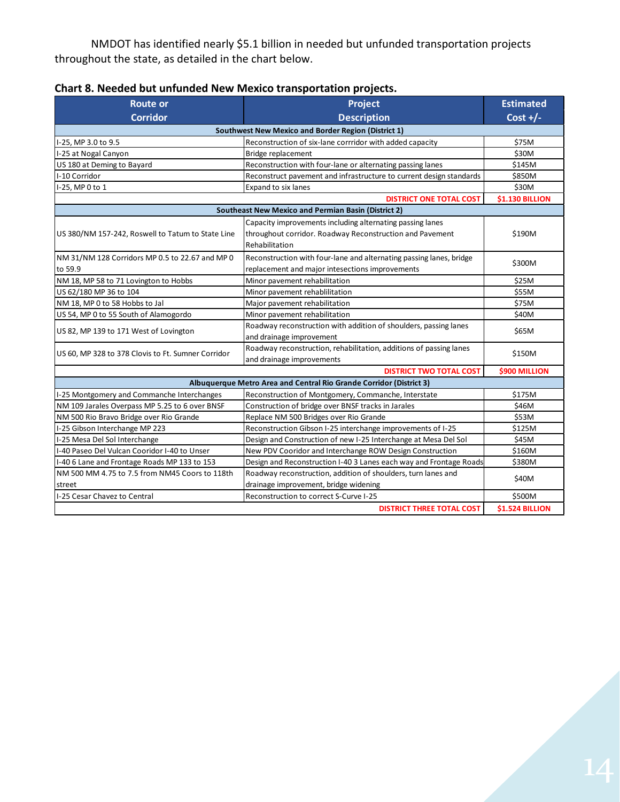NMDOT has identified nearly \$5.1 billion in needed but unfunded transportation projects throughout the state, as detailed in the chart below.

| <b>Route or</b>                                     | Project                                                             | <b>Estimated</b>       |  |
|-----------------------------------------------------|---------------------------------------------------------------------|------------------------|--|
| <b>Corridor</b>                                     | <b>Description</b>                                                  | Cost $+/-$             |  |
| Southwest New Mexico and Border Region (District 1) |                                                                     |                        |  |
| I-25, MP 3.0 to 9.5                                 | Reconstruction of six-lane corrridor with added capacity            | \$75M                  |  |
| I-25 at Nogal Canyon                                | Bridge replacement                                                  | \$30M                  |  |
| US 180 at Deming to Bayard                          | Reconstruction with four-lane or alternating passing lanes          | \$145M                 |  |
| I-10 Corridor                                       | Reconstruct pavement and infrastructure to current design standards | \$850M                 |  |
| I-25, MP 0 to 1                                     | Expand to six lanes                                                 | \$30M                  |  |
|                                                     | <b>DISTRICT ONE TOTAL COST</b>                                      | <b>\$1.130 BILLION</b> |  |
|                                                     | <b>Southeast New Mexico and Permian Basin (District 2)</b>          |                        |  |
|                                                     | Capacity improvements including alternating passing lanes           |                        |  |
| US 380/NM 157-242, Roswell to Tatum to State Line   | throughout corridor. Roadway Reconstruction and Pavement            | \$190M                 |  |
|                                                     | Rehabilitation                                                      |                        |  |
| NM 31/NM 128 Corridors MP 0.5 to 22.67 and MP 0     | Reconstruction with four-lane and alternating passing lanes, bridge |                        |  |
| to 59.9                                             | replacement and major intesections improvements                     | \$300M                 |  |
| NM 18, MP 58 to 71 Lovington to Hobbs               | Minor pavement rehabilitation                                       | \$25M                  |  |
| US 62/180 MP 36 to 104                              | Minor pavement rehablilitation                                      | \$55M                  |  |
| NM 18, MP 0 to 58 Hobbs to Jal                      | Major pavement rehabilitation                                       | \$75M                  |  |
| US 54, MP 0 to 55 South of Alamogordo               | Minor pavement rehabilitation                                       | \$40M                  |  |
|                                                     | Roadway reconstruction with addition of shoulders, passing lanes    | \$65M                  |  |
| US 82, MP 139 to 171 West of Lovington              | and drainage improvement                                            |                        |  |
|                                                     | Roadway reconstruction, rehabilitation, additions of passing lanes  | \$150M                 |  |
| US 60, MP 328 to 378 Clovis to Ft. Sumner Corridor  | and drainage improvements                                           |                        |  |
|                                                     | <b>DISTRICT TWO TOTAL COST</b>                                      | \$900 MILLION          |  |
|                                                     | Albuquerque Metro Area and Central Rio Grande Corridor (District 3) |                        |  |
| I-25 Montgomery and Commanche Interchanges          | Reconstruction of Montgomery, Commanche, Interstate                 | \$175M                 |  |
| NM 109 Jarales Overpass MP 5.25 to 6 over BNSF      | Construction of bridge over BNSF tracks in Jarales                  | \$46M                  |  |
| NM 500 Rio Bravo Bridge over Rio Grande             | Replace NM 500 Bridges over Rio Grande                              | \$53M                  |  |
| I-25 Gibson Interchange MP 223                      | Reconstruction Gibson I-25 interchange improvements of I-25         | \$125M                 |  |
| I-25 Mesa Del Sol Interchange                       | Design and Construction of new I-25 Interchange at Mesa Del Sol     | \$45M                  |  |
| I-40 Paseo Del Vulcan Cooridor I-40 to Unser        | New PDV Cooridor and Interchange ROW Design Construction            | \$160M                 |  |
| I-40 6 Lane and Frontage Roads MP 133 to 153        | Design and Reconstruction I-40 3 Lanes each way and Frontage Roads  | \$380M                 |  |
| NM 500 MM 4.75 to 7.5 from NM45 Coors to 118th      | Roadway reconstruction, addition of shoulders, turn lanes and       | \$40M                  |  |
| street                                              | drainage improvement, bridge widening                               |                        |  |
| I-25 Cesar Chavez to Central                        | Reconstruction to correct S-Curve I-25                              | \$500M                 |  |
|                                                     | <b>DISTRICT THREE TOTAL COST</b>                                    | \$1.524 BILLION        |  |

# **Chart 8. Needed but unfunded New Mexico transportation projects.**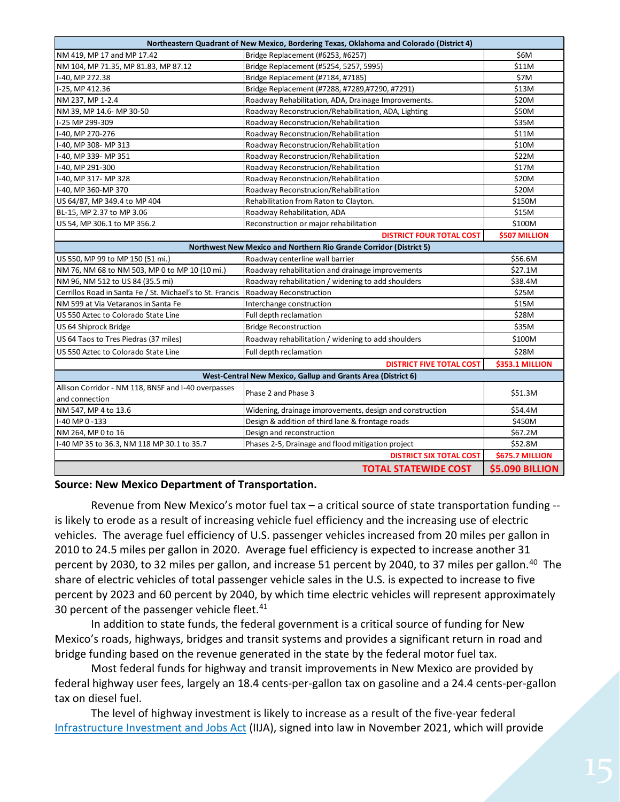| Northeastern Quadrant of New Mexico, Bordering Texas, Oklahoma and Colorado (District 4) |                                                                    |                        |  |
|------------------------------------------------------------------------------------------|--------------------------------------------------------------------|------------------------|--|
| NM 419, MP 17 and MP 17.42                                                               | Bridge Replacement (#6253, #6257)                                  | \$6M                   |  |
| NM 104, MP 71.35, MP 81.83, MP 87.12                                                     | Bridge Replacement (#5254, 5257, 5995)                             | \$11M                  |  |
| I-40, MP 272.38                                                                          | Bridge Replacement (#7184, #7185)                                  | \$7M                   |  |
| I-25, MP 412.36                                                                          | Bridge Replacement (#7288, #7289,#7290, #7291)                     | \$13M                  |  |
| NM 237, MP 1-2.4                                                                         | Roadway Rehabilitation, ADA, Drainage Improvements.                | \$20M                  |  |
| NM 39, MP 14.6- MP 30-50                                                                 | Roadway Reconstrucion/Rehabilitation, ADA, Lighting                | \$50M                  |  |
| I-25 MP 299-309                                                                          | Roadway Reconstrucion/Rehabilitation                               | \$35M                  |  |
| I-40, MP 270-276                                                                         | Roadway Reconstrucion/Rehabilitation                               | \$11M                  |  |
| I-40, MP 308- MP 313                                                                     | Roadway Reconstrucion/Rehabilitation                               | \$10M                  |  |
| I-40, MP 339- MP 351                                                                     | Roadway Reconstrucion/Rehabilitation                               | \$22M                  |  |
| I-40, MP 291-300                                                                         | Roadway Reconstrucion/Rehabilitation                               | \$17M                  |  |
| I-40, MP 317- MP 328                                                                     | Roadway Reconstrucion/Rehabilitation                               | \$20M                  |  |
| I-40, MP 360-MP 370                                                                      | Roadway Reconstrucion/Rehabilitation                               | \$20M                  |  |
| US 64/87, MP 349.4 to MP 404                                                             | Rehabilitation from Raton to Clayton.                              | \$150M                 |  |
| BL-15, MP 2.37 to MP 3.06                                                                | Roadway Rehabilitation, ADA                                        | \$15M                  |  |
| US 54, MP 306.1 to MP 356.2                                                              | Reconstruction or major rehabilitation                             | \$100M                 |  |
|                                                                                          | <b>DISTRICT FOUR TOTAL COST</b>                                    | \$507 MILLION          |  |
|                                                                                          | Northwest New Mexico and Northern Rio Grande Corridor (District 5) |                        |  |
| US 550, MP 99 to MP 150 (51 mi.)                                                         | Roadway centerline wall barrier                                    | \$56.6M                |  |
| NM 76, NM 68 to NM 503, MP 0 to MP 10 (10 mi.)                                           | Roadway rehabilitation and drainage improvements                   | \$27.1M                |  |
| NM 96, NM 512 to US 84 (35.5 mi)                                                         | Roadway rehabilitation / widening to add shoulders                 | \$38.4M                |  |
| Cerrillos Road in Santa Fe / St. Michael's to St. Francis                                | Roadway Reconstruction                                             | <b>\$25M</b>           |  |
| NM 599 at Via Vetaranos in Santa Fe                                                      | Interchange construction                                           | \$15M                  |  |
| US 550 Aztec to Colorado State Line                                                      | Full depth reclamation                                             | \$28M                  |  |
| US 64 Shiprock Bridge                                                                    | <b>Bridge Reconstruction</b>                                       | \$35M                  |  |
| US 64 Taos to Tres Piedras (37 miles)                                                    | Roadway rehabilitation / widening to add shoulders                 | \$100M                 |  |
| US 550 Aztec to Colorado State Line                                                      | Full depth reclamation                                             | \$28M                  |  |
|                                                                                          | <b>DISTRICT FIVE TOTAL COST</b>                                    | <b>\$353.1 MILLION</b> |  |
| West-Central New Mexico, Gallup and Grants Area (District 6)                             |                                                                    |                        |  |
| Allison Corridor - NM 118, BNSF and I-40 overpasses                                      | Phase 2 and Phase 3                                                | \$51.3M                |  |
| and connection                                                                           |                                                                    |                        |  |
| NM 547, MP 4 to 13.6                                                                     | Widening, drainage improvements, design and construction           | \$54.4M                |  |
| I-40 MP 0 -133                                                                           | Design & addition of third lane & frontage roads                   | \$450M                 |  |
| NM 264, MP 0 to 16                                                                       | Design and reconstruction                                          | \$67.2M                |  |
| I-40 MP 35 to 36.3, NM 118 MP 30.1 to 35.7                                               | Phases 2-5, Drainage and flood mitigation project                  | \$52.8M                |  |
| \$675.7 MILLION<br><b>DISTRICT SIX TOTAL COST</b>                                        |                                                                    |                        |  |
|                                                                                          | <b>TOTAL STATEWIDE COST</b>                                        | <b>\$5.090 BILLION</b> |  |

#### **Source: New Mexico Department of Transportation.**

Revenue from New Mexico's motor fuel tax – a critical source of state transportation funding - is likely to erode as a result of increasing vehicle fuel efficiency and the increasing use of electric vehicles. The average fuel efficiency of U.S. passenger vehicles increased from 20 miles per gallon in 2010 to 24.5 miles per gallon in 2020. Average fuel efficiency is expected to increase another 31 percent by 2030, to 32 miles per gallon, and increase 51 percent by 20[40](#page-18-1), to 37 miles per gallon.<sup>40</sup> The share of electric vehicles of total passenger vehicle sales in the U.S. is expected to increase to five percent by 2023 and 60 percent by 2040, by which time electric vehicles will represent approximately 30 percent of the passenger vehicle fleet. $41$ 

In addition to state funds, the federal government is a critical source of funding for New Mexico's roads, highways, bridges and transit systems and provides a significant return in road and bridge funding based on the revenue generated in the state by the federal motor fuel tax.

Most federal funds for highway and transit improvements in New Mexico are provided by federal highway user fees, largely an 18.4 cents-per-gallon tax on gasoline and a 24.4 cents-per-gallon tax on diesel fuel.

The level of highway investment is likely to increase as a result of the five-year federal [Infrastructure Investment and Jobs Act](https://www.congress.gov/bill/117th-congress/house-bill/3684/text) (IIJA), signed into law in November 2021, which will provide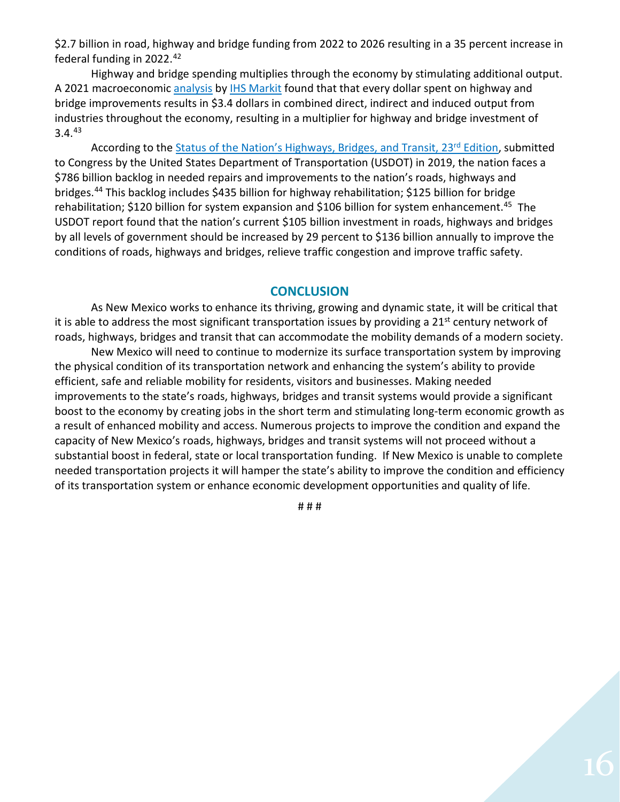\$2.7 billion in road, highway and bridge funding from 2022 to 2026 resulting in a 35 percent increase in federal funding in 2022.[42](#page-18-3)

Highway and bridge spending multiplies through the economy by stimulating additional output. A 2021 macroeconomic [analysis](https://www.artba.org/wp-content/uploads/federal-investment/iija/ARTBA_EIA_IIJA_Report_Sept2021.pdf) by [IHS Markit](https://ihsmarkit.com/index.html) found that that every dollar spent on highway and bridge improvements results in \$3.4 dollars in combined direct, indirect and induced output from industries throughout the economy, resulting in a multiplier for highway and bridge investment of  $3.4.<sup>43</sup>$  $3.4.<sup>43</sup>$  $3.4.<sup>43</sup>$ 

According to the Status of the Nation's Highways, Bridges, and Transit, 23<sup>rd</sup> Edition, submitted to Congress by the United States Department of Transportation (USDOT) in 2019, the nation faces a \$786 billion backlog in needed repairs and improvements to the nation's roads, highways and bridges[.44](#page-18-5) This backlog includes \$435 billion for highway rehabilitation; \$125 billion for bridge rehabilitation; \$120 billion for system expansion and \$106 billion for system enhancement.<sup>45</sup> The USDOT report found that the nation's current \$105 billion investment in roads, highways and bridges by all levels of government should be increased by 29 percent to \$136 billion annually to improve the conditions of roads, highways and bridges, relieve traffic congestion and improve traffic safety.

# **CONCLUSION**

As New Mexico works to enhance its thriving, growing and dynamic state, it will be critical that it is able to address the most significant transportation issues by providing a  $21<sup>st</sup>$  century network of roads, highways, bridges and transit that can accommodate the mobility demands of a modern society.

New Mexico will need to continue to modernize its surface transportation system by improving the physical condition of its transportation network and enhancing the system's ability to provide efficient, safe and reliable mobility for residents, visitors and businesses. Making needed improvements to the state's roads, highways, bridges and transit systems would provide a significant boost to the economy by creating jobs in the short term and stimulating long-term economic growth as a result of enhanced mobility and access. Numerous projects to improve the condition and expand the capacity of New Mexico's roads, highways, bridges and transit systems will not proceed without a substantial boost in federal, state or local transportation funding. If New Mexico is unable to complete needed transportation projects it will hamper the state's ability to improve the condition and efficiency of its transportation system or enhance economic development opportunities and quality of life.

# # #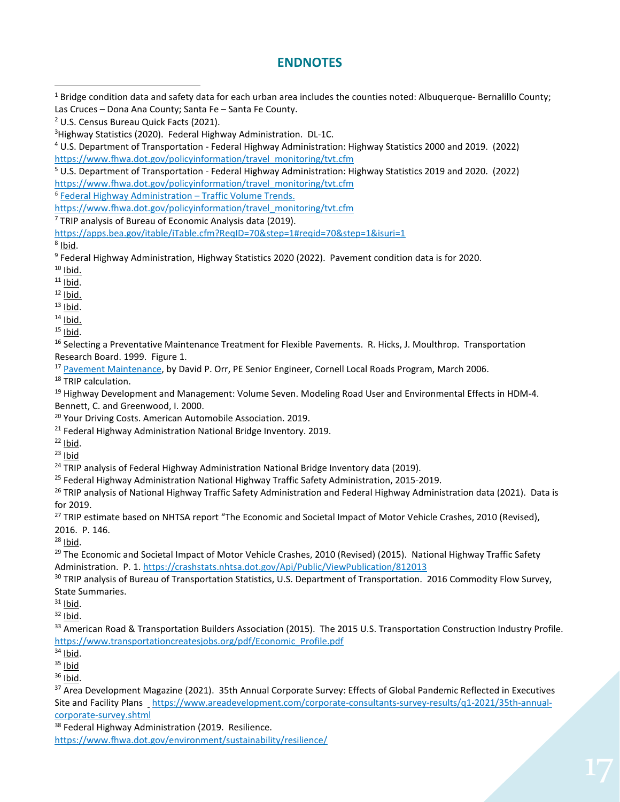# **ENDNOTES**

<span id="page-17-4"></span><sup>5</sup> U.S. Department of Transportation - Federal Highway Administration: Highway Statistics 2019 and 2020. (2022) [https://www.fhwa.dot.gov/policyinformation/travel\\_monitoring/tvt.cfm](https://www.fhwa.dot.gov/policyinformation/travel_monitoring/tvt.cfm)

<span id="page-17-5"></span><sup>6</sup> [Federal Highway Administration –](https://www.fhwa.dot.gov/policyinformation/travel_monitoring/tvt.cfm) Traffic Volume Trends.

https://www.fhwa.dot.gov/policyinformation/travel\_monitoring/tvt.cfm

<span id="page-17-6"></span> $7$  TRIP analysis of Bureau of Economic Analysis data (2019).

<span id="page-17-7"></span> $8$  Ibid.

<span id="page-17-8"></span><sup>9</sup> Federal Highway Administration, Highway Statistics 2020 (2022). Pavement condition data is for 2020.

<span id="page-17-9"></span> $10$  Ibid.

<span id="page-17-10"></span> $11$  lbid.

<span id="page-17-12"></span><span id="page-17-11"></span> $\frac{12}{13}$  <u>Ibid.</u>

<span id="page-17-15"></span>

<span id="page-17-14"></span><span id="page-17-13"></span><sup>14</sup> Ibid.<br><sup>15</sup> Ibid.<br><sup>16</sup> Selecting a Preventative Maintenance Treatment for Flexible Pavements. R. Hicks, J. Moulthrop. Transportation Research Board. 1999. Figure 1.

<span id="page-17-16"></span><sup>17</sup> [Pavement Maintenance,](https://www.yumpu.com/en/document/view/9021768/pavement-maintenance-cornell-local-roads-program-cornell-/4) by David P. Orr, PE Senior Engineer, Cornell Local Roads Program, March 2006.

<span id="page-17-17"></span><sup>18</sup> TRIP calculation.

<span id="page-17-18"></span><sup>19</sup> Highway Development and Management: Volume Seven. Modeling Road User and Environmental Effects in HDM-4. Bennett, C. and Greenwood, I. 2000.

<span id="page-17-20"></span><span id="page-17-19"></span><sup>20</sup> Your Driving Costs. American Automobile Association. 2019.<br><sup>21</sup> Federal Highway Administration National Bridge Inventory. 2019.<br><sup>22</sup> Ibid.

<span id="page-17-21"></span>

<span id="page-17-22"></span> $23$  Ibid

<span id="page-17-23"></span> $24$  TRIP analysis of Federal Highway Administration National Bridge Inventory data (2019).

<span id="page-17-24"></span><sup>25</sup> Federal Highway Administration National Highway Traffic Safety Administration, 2015-2019.

<span id="page-17-25"></span><sup>26</sup> TRIP analysis of National Highway Traffic Safety Administration and Federal Highway Administration data (2021). Data is for 2019.

<span id="page-17-26"></span><sup>27</sup> TRIP estimate based on NHTSA report "The Economic and Societal Impact of Motor Vehicle Crashes, 2010 (Revised), 2016. P. 146.

<span id="page-17-27"></span> $28$  Ibid.

<span id="page-17-28"></span><sup>29</sup> The Economic and Societal Impact of Motor Vehicle Crashes, 2010 (Revised) (2015). National Highway Traffic Safety Administration. P. 1. https://crashstats.nhtsa.dot.gov/Api/Public/ViewPublication/812013<br><sup>30</sup> TRIP analysis of Bureau of Transportation Statistics, U.S. Department of Transportation. 2016 Commodity Flow Survey,

<span id="page-17-29"></span>State Summaries.

<span id="page-17-31"></span><span id="page-17-30"></span> $\frac{31}{32}$  Ibid.

<span id="page-17-32"></span>33 American Road & Transportation Builders Association (2015). The 2015 U.S. Transportation Construction Industry Profile. [https://www.transportationcreatesjobs.org/pdf/Economic\\_Profile.pdf](https://www.transportationcreatesjobs.org/pdf/Economic_Profile.pdf)

<span id="page-17-33"></span> $34$  Ibid.

<span id="page-17-34"></span> $35$  Ibid

<span id="page-17-35"></span> $36$  Ibid.

<span id="page-17-36"></span><sup>37</sup> Area Development Magazine (2021). 35th Annual Corporate Survey: Effects of Global Pandemic Reflected in Executives Site and Facility Plans https://www.areadevelopment.com/corporate-consultants-survey-results/q1-2021/35th-annualcorporate-survey.shtml

<span id="page-17-37"></span><sup>38</sup> Federal Highway Administration (2019. Resilience.

<https://www.fhwa.dot.gov/environment/sustainability/resilience/>

<span id="page-17-0"></span> $1$  Bridge condition data and safety data for each urban area includes the counties noted: Albuquerque- Bernalillo County; Las Cruces – Dona Ana County; Santa Fe – Santa Fe County.<br><sup>2</sup> U.S. Census Bureau Quick Facts (2021).<br><sup>3</sup> Highway Statistics (2020). Federal Highway Administration. DL-1C.

<span id="page-17-1"></span>

<span id="page-17-2"></span>

<span id="page-17-3"></span> $4$  U.S. Department of Transportation - Federal Highway Administration: Highway Statistics 2000 and 2019. (2022) [https://www.fhwa.dot.gov/policyinformation/travel\\_monitoring/tvt.cfm](https://www.fhwa.dot.gov/policyinformation/travel_monitoring/tvt.cfm)

<https://apps.bea.gov/itable/iTable.cfm?ReqID=70&step=1#reqid=70&step=1&isuri=1>